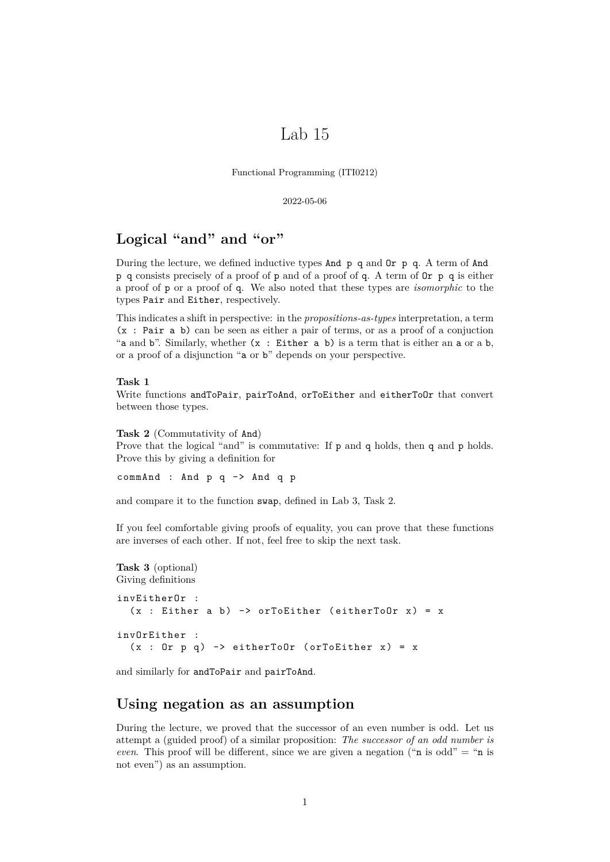# Lab 15

Functional Programming (ITI0212)

2022-05-06

# **Logical "and" and "or"**

During the lecture, we defined inductive types And p q and Or p q. A term of And p q consists precisely of a proof of p and of a proof of q. A term of Or p q is either a proof of p or a proof of q. We also noted that these types are *isomorphic* to the types Pair and Either, respectively.

This indicates a shift in perspective: in the *propositions-as-types* interpretation, a term (x : Pair a b) can be seen as either a pair of terms, or as a proof of a conjuction "a and b". Similarly, whether  $(x : Either a b)$  is a term that is either an a or a b, or a proof of a disjunction "a or b" depends on your perspective.

### **Task 1**

Write functions andToPair, pairToAnd, orToEither and eitherToOr that convert between those types.

**Task 2** (Commutativity of And)

Prove that the logical "and" is commutative: If p and q holds, then q and p holds. Prove this by giving a definition for

commAnd : And p q -> And q p

and compare it to the function swap, defined in Lab 3, Task 2.

If you feel comfortable giving proofs of equality, you can prove that these functions are inverses of each other. If not, feel free to skip the next task.

#### **Task 3** (optional) Giving definitions

```
invEitherOr :
  (x : Either a b) \rightarrow or ToEither (either ToDr x) = xinvOrEither :
  (x : 0r p q) -> eitherToOr (orToEither x) = x
```
and similarly for andToPair and pairToAnd.

## **Using negation as an assumption**

During the lecture, we proved that the successor of an even number is odd. Let us attempt a (guided proof) of a similar proposition: *The successor of an odd number is even*. This proof will be different, since we are given a negation ("n is odd" = "n is not even") as an assumption.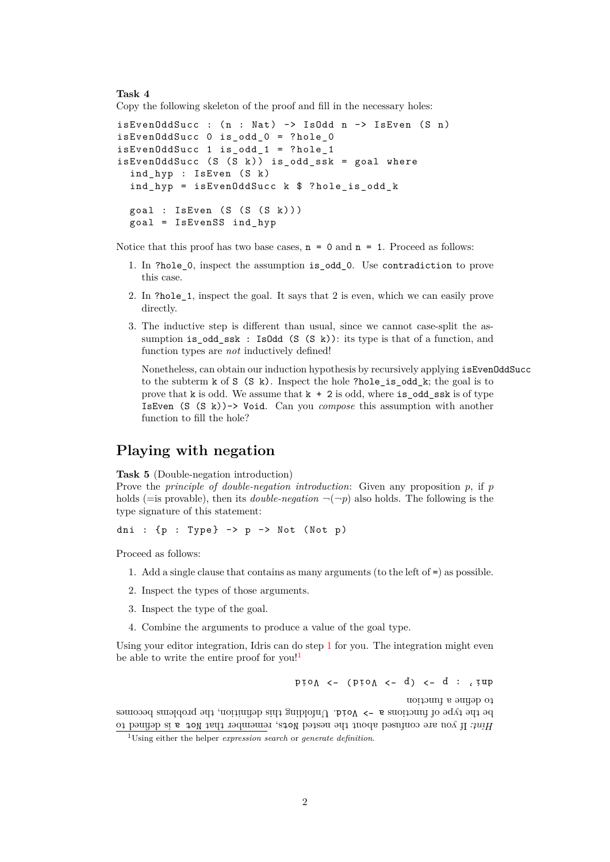### **Task 4**

Copy the following skeleton of the proof and fill in the necessary holes:

```
isEvenOddSucc : (n : Nat) \rightarrow IsOdd n \rightarrow IsEven (S n)isEvenOddSucc 0 is_odd_0 = ? hole_0
isEvenOddSucc 1 is_odd_1 = ? hole_1
isEvenOddSucc (S (S k)) is\_odd\_ssk = goal whereind_hyp : IsEven (S k)
  ind hyp = isEvenOddSucc k $ ? hole is odd k
  goal : IsEven (S (S (S k)))goal = IsEvenSS ind_hyp
```
Notice that this proof has two base cases,  $n = 0$  and  $n = 1$ . Proceed as follows:

- 1. In ?hole\_0, inspect the assumption is\_odd\_0. Use contradiction to prove this case.
- 2. In ?hole\_1, inspect the goal. It says that 2 is even, which we can easily prove directly.
- 3. The inductive step is different than usual, since we cannot case-split the assumption is\_odd\_ssk : IsOdd (S (S k)): its type is that of a function, and function types are *not* inductively defined!

Nonetheless, can obtain our induction hypothesis by recursively applying isEvenOddSucc to the subterm  $k$  of  $S(S k)$ . Inspect the hole ?hole is odd  $k$ ; the goal is to prove that k is odd. We assume that  $k + 2$  is odd, where is odd ssk is of type IsEven (S (S k))-> Void. Can you *compose* this assumption with another function to fill the hole?

## **Playing with negation**

<span id="page-1-2"></span>**Task 5** (Double-negation introduction)

Prove the *principle of double-negation introduction*: Given any proposition *p*, if *p* holds (=is provable), then its *double-negation*  $\neg(\neg p)$  also holds. The following is the type signature of this statement:

dni :  ${p : Type} \rightarrow p \rightarrow Not (Not p)$ 

<span id="page-1-0"></span>Proceed as follows:

- 1. Add a single clause that contains as many arguments (to the left of =) as possible.
- 2. Inspect the types of those arguments.
- 3. Inspect the type of the goal.
- 4. Combine the arguments to produce a value of the goal type.

Using your editor integration, Idris can do step [1](#page-1-0) for you. The integration might even be able to write the entire proof for you!

pro $\Lambda$  <- (pro $\Lambda$  <- d) <- d : , tup

to define <sup>a</sup> function

Hint: It you are contused about the nested  $N$ ots, remember that  $N \circ P$  are defined to be the sype of functions  $\sigma$   $\sim$  Void. Unfolding this becomes becomes becomes

<span id="page-1-1"></span><sup>1</sup>Using either the helper *expression search* or *generate definition*.